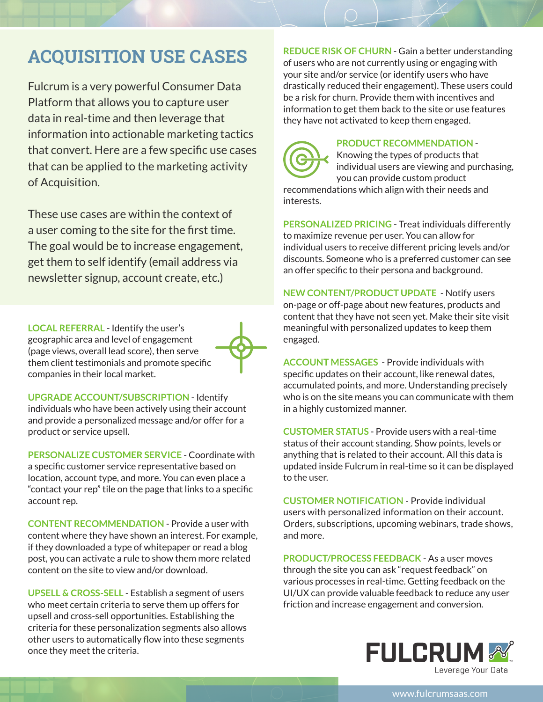## **ACQUISITION USE CASES**

Fulcrum is a very powerful Consumer Data Platform that allows you to capture user data in real-time and then leverage that information into actionable marketing tactics that convert. Here are a few specific use cases that can be applied to the marketing activity of Acquisition.

These use cases are within the context of a user coming to the site for the first time. The goal would be to increase engagement, get them to self identify (email address via newsletter signup, account create, etc.)

**LOCAL REFERRAL** - Identify the user's geographic area and level of engagement (page views, overall lead score), then serve them client testimonials and promote specific companies in their local market.



**UPGRADE ACCOUNT/SUBSCRIPTION** - Identify individuals who have been actively using their account and provide a personalized message and/or offer for a product or service upsell.

**PERSONALIZE CUSTOMER SERVICE** - Coordinate with a specific customer service representative based on location, account type, and more. You can even place a "contact your rep" tile on the page that links to a specific account rep.

**CONTENT RECOMMENDATION** - Provide a user with content where they have shown an interest. For example, if they downloaded a type of whitepaper or read a blog post, you can activate a rule to show them more related content on the site to view and/or download.

**UPSELL & CROSS-SELL** - Establish a segment of users who meet certain criteria to serve them up offers for upsell and cross-sell opportunities. Establishing the criteria for these personalization segments also allows other users to automatically flow into these segments once they meet the criteria.

**REDUCE RISK OF CHURN** - Gain a better understanding of users who are not currently using or engaging with your site and/or service (or identify users who have drastically reduced their engagement). These users could be a risk for churn. Provide them with incentives and information to get them back to the site or use features they have not activated to keep them engaged.



## **PRODUCT RECOMMENDATION** -

Knowing the types of products that individual users are viewing and purchasing, you can provide custom product

recommendations which align with their needs and interests.

**PERSONALIZED PRICING** - Treat individuals differently to maximize revenue per user. You can allow for individual users to receive different pricing levels and/or discounts. Someone who is a preferred customer can see an offer specific to their persona and background.

**NEW CONTENT/PRODUCT UPDATE** - Notify users on-page or off-page about new features, products and content that they have not seen yet. Make their site visit meaningful with personalized updates to keep them engaged.

**ACCOUNT MESSAGES** - Provide individuals with specific updates on their account, like renewal dates, accumulated points, and more. Understanding precisely who is on the site means you can communicate with them in a highly customized manner.

**CUSTOMER STATUS** - Provide users with a real-time status of their account standing. Show points, levels or anything that is related to their account. All this data is updated inside Fulcrum in real-time so it can be displayed to the user.

**CUSTOMER NOTIFICATION** - Provide individual users with personalized information on their account. Orders, subscriptions, upcoming webinars, trade shows, and more.

**PRODUCT/PROCESS FEEDBACK** - As a user moves through the site you can ask "request feedback" on various processes in real-time. Getting feedback on the UI/UX can provide valuable feedback to reduce any user friction and increase engagement and conversion.



www.fulcrumsaas.com